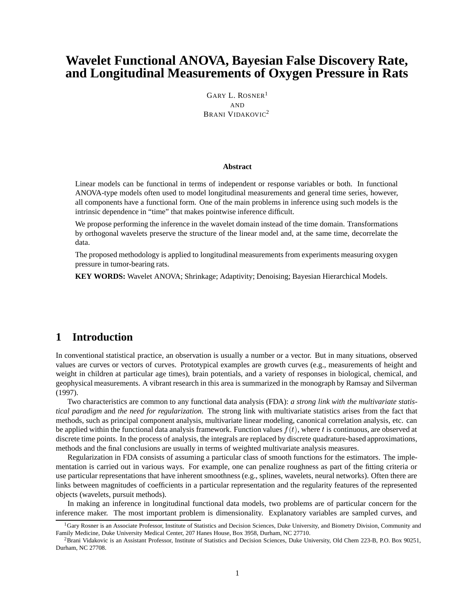# **Wavelet Functional ANOVA, Bayesian False Discovery Rate, and Longitudinal Measurements of Oxygen Pressure in Rats**

GARY L. ROSNER<sup>1</sup> AND BRANI VIDAKOVIC<sup>2</sup>

#### **Abstract**

Linear models can be functional in terms of independent or response variables or both. In functional ANOVA-type models often used to model longitudinal measurements and general time series, however, all components have a functional form. One of the main problems in inference using such models is the intrinsic dependence in "time" that makes pointwise inference difficult.

We propose performing the inference in the wavelet domain instead of the time domain. Transformations by orthogonal wavelets preserve the structure of the linear model and, at the same time, decorrelate the data.

The proposed methodology is applied to longitudinal measurements from experiments measuring oxygen pressure in tumor-bearing rats.

**KEY WORDS:** Wavelet ANOVA; Shrinkage; Adaptivity; Denoising; Bayesian Hierarchical Models.

### **1 Introduction**

In conventional statistical practice, an observation is usually a number or a vector. But in many situations, observed values are curves or vectors of curves. Prototypical examples are growth curves (e.g., measurements of height and weight in children at particular age times), brain potentials, and a variety of responses in biological, chemical, and geophysical measurements. A vibrant research in this area is summarized in the monograph by Ramsay and Silverman (1997).

Two characteristics are common to any functional data analysis (FDA): *a strong link with the multivariate statistical paradigm* and *the need for regularization.* The strong link with multivariate statistics arises from the fact that methods, such as principal component analysis, multivariate linear modeling, canonical correlation analysis, etc. can be applied within the functional data analysis framework. Function values  $f(t)$ , where t is continuous, are observed at discrete time points. In the process of analysis, the integrals are replaced by discrete quadrature-based approximations, methods and the final conclusions are usually in terms of weighted multivariate analysis measures.

Regularization in FDA consists of assuming a particular class of smooth functions for the estimators. The implementation is carried out in various ways. For example, one can penalize roughness as part of the fitting criteria or use particular representations that have inherent smoothness (e.g., splines, wavelets, neural networks). Often there are links between magnitudes of coefficients in a particular representation and the regularity features of the represented objects (wavelets, pursuit methods).

In making an inference in longitudinal functional data models, two problems are of particular concern for the inference maker. The most important problem is dimensionality. Explanatory variables are sampled curves, and

<sup>&</sup>lt;sup>1</sup>Gary Rosner is an Associate Professor, Institute of Statistics and Decision Sciences, Duke University, and Biometry Division, Community and Family Medicine, Duke University Medical Center, 207 Hanes House, Box 3958, Durham, NC 27710.

<sup>&</sup>lt;sup>2</sup> Brani Vidakovic is an Assistant Professor, Institute of Statistics and Decision Sciences, Duke University, Old Chem 223-B, P.O. Box 90251, Durham, NC 27708.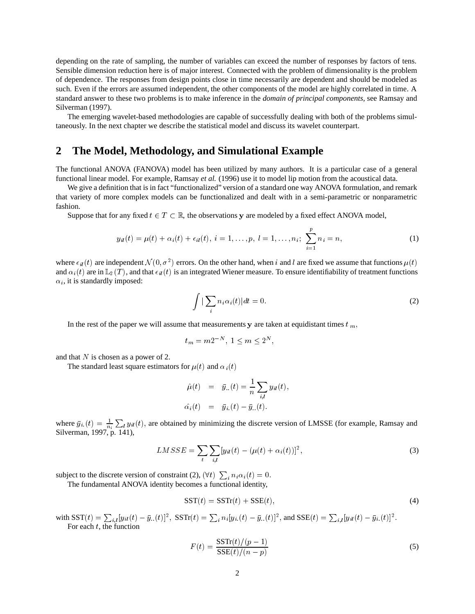depending on the rate of sampling, the number of variables can exceed the number of responses by factors of tens. Sensible dimension reduction here is of major interest. Connected with the problem of dimensionality is the problem of dependence. The responses from design points close in time necessarily are dependent and should be modeled as such. Even if the errors are assumed independent, the other components of the model are highly correlated in time. A standard answer to these two problems is to make inference in the *domain of principal components,* see Ramsay and Silverman (1997).

The emerging wavelet-based methodologies are capable of successfully dealing with both of the problems simultaneously. In the next chapter we describe the statistical model and discuss its wavelet counterpart.

### **2 The Model, Methodology, and Simulational Example**

The functional ANOVA (FANOVA) model has been utilized by many authors. It is a particular case of a general functional linear model. For example, Ramsay *et al.* (1996) use it to model lip motion from the acoustical data.

We give a definition that is in fact "functionalized" version of a standard one way ANOVA formulation, and remark that variety of more complex models can be functionalized and dealt with in a semi-parametric or nonparametric fashion.

Suppose that for any fixed  $t \in T \subset \mathbb{R}$ , the observations y are modeled by a fixed effect ANOVA model,

$$
y_{il}(t) = \mu(t) + \alpha_i(t) + \epsilon_{il}(t), \quad i = 1, \ldots, p, \quad l = 1, \ldots, n_i; \quad \sum_{i=1}^p n_i = n,
$$
\n(1)

where  $\epsilon_{il}(t)$  are independent  $\mathcal{N}(0, \sigma^2)$  errors. On the other hand, when i and l are fixed we assume that functions  $\mu(t)$ and  $\alpha_i(t)$  are in  $\mathbb{L}_2(T)$ , and that  $\epsilon_{il}(t)$  is an integrated Wiener measure. To ensure identifiability of treatment functions  $\alpha_i$ , it is standardly imposed:

$$
\int \left| \sum_{i} n_i \alpha_i(t) \right| dt = 0. \tag{2}
$$

In the rest of the paper we will assume that measurements y are taken at equidistant times  $t_m$ ,

$$
t_m = m2^{-N}, \ 1 \le m \le 2^N,
$$

and that  $N$  is chosen as a power of 2.

The standard least square estimators for  $\mu(t)$  and  $\alpha_i(t)$ 

$$
\hat{\mu}(t) = \bar{y}_{..}(t) = \frac{1}{n} \sum_{i,l} y_{il}(t), \n\hat{\alpha_i}(t) = \bar{y}_{i.}(t) - \bar{y}_{..}(t).
$$

where  $\bar{y}_{i}(t) = \frac{1}{n_i} \sum_{l} y_{il}(t)$ , are obtained by minimizing the discrete version of LMSSE (for example, Ramsay and Silverman, 1997, p. 141),

$$
LMSSE = \sum_{t} \sum_{i,l} [y_{il}(t) - (\mu(t) + \alpha_i(t))]^2,
$$
\n(3)

subject to the discrete version of constraint (2),  $(\forall t)$   $\sum_i n_i \alpha_i(t) = 0$ .

The fundamental ANOVA identity becomes a functional identity,

$$
SST(t) = SSTr(t) + SSE(t),
$$
\n(4)

with  $\mathrm{SST}(t) = \sum_{i,l} [y_{il}(t) - \bar{y}_{..}(t)]^2$ ,  $\mathrm{SSTr}(t) = \sum_i n_i [y_{i.}(t) - \bar{y}_{..}(t)]^2$ , and  $\mathrm{SSE}(t) = \sum_{i,l} [y_{il}(t) - \bar{y}_{i.}(t)]^2$ . For each  $t$ , the function

$$
F(t) = \frac{\text{SSTr}(t)/(p-1)}{\text{SSE}(t)/(n-p)}\tag{5}
$$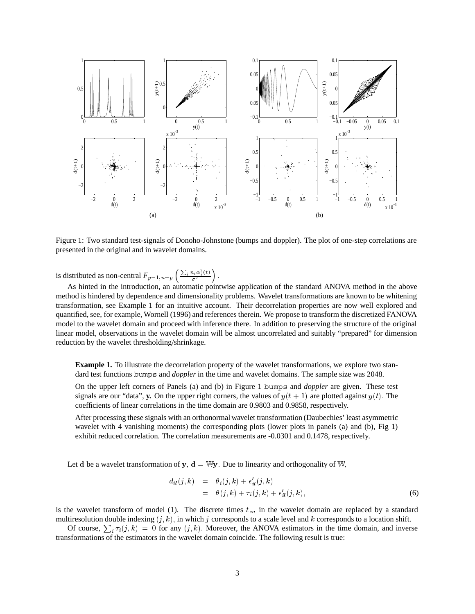

Figure 1: Two standard test-signals of Donoho-Johnstone (bumps and doppler). The plot of one-step correlations are presented in the original and in wavelet domains.

is distributed as non-central  $F_{p-1,n-p}$   $\left(\frac{\sum_{i} n_i \alpha_i^2(t)}{\sigma^2}\right)$ .

As hinted in the introduction, an automatic pointwise application of the standard ANOVA method in the above method is hindered by dependence and dimensionality problems. Wavelet transformations are known to be whitening transformation, see Example 1 for an intuitive account. Their decorrelation properties are now well explored and quantified, see, for example, Wornell (1996) and references therein. We propose to transform the discretized FANOVA model to the wavelet domain and proceed with inference there. In addition to preserving the structure of the original linear model, observations in the wavelet domain will be almost uncorrelated and suitably "prepared" for dimension reduction by the wavelet thresholding/shrinkage.

**Example 1.** To illustrate the decorrelation property of the wavelet transformations, we explore two standard test functions bumps and *doppler* in the time and wavelet domains. The sample size was 2048.

On the upper left corners of Panels (a) and (b) in Figure 1 bumps and *doppler* are given. These test signals are our "data", y. On the upper right corners, the values of  $y(t + 1)$  are plotted against  $y(t)$ . The coefficients of linear correlations in the time domain are 0.9803 and 0.9858, respectively.

After processing these signals with an orthonormal wavelet transformation (Daubechies' least asymmetric wavelet with 4 vanishing moments) the corresponding plots (lower plots in panels (a) and (b), Fig 1) exhibit reduced correlation. The correlation measurements are -0.0301 and 0.1478, respectively.

Let d be a wavelet transformation of  $y$ ,  $d = Wy$ . Due to linearity and orthogonality of W,

$$
d_{il}(j,k) = \theta_i(j,k) + \epsilon'_{il}(j,k)
$$
  
=  $\theta(j,k) + \tau_i(j,k) + \epsilon'_{il}(j,k)$ , (6)

is the wavelet transform of model (1). The discrete times  $t_m$  in the wavelet domain are replaced by a standard multiresolution double indexing  $(j, k)$ , in which j corresponds to a scale level and k corresponds to a location shift.

Of course,  $\sum_i \tau_i(j,k) = 0$  for any  $(j,k)$ . Moreover, the ANOVA estimators in the time domain, and inverse transformations of the estimators in the wavelet domain coincide. The following result is true: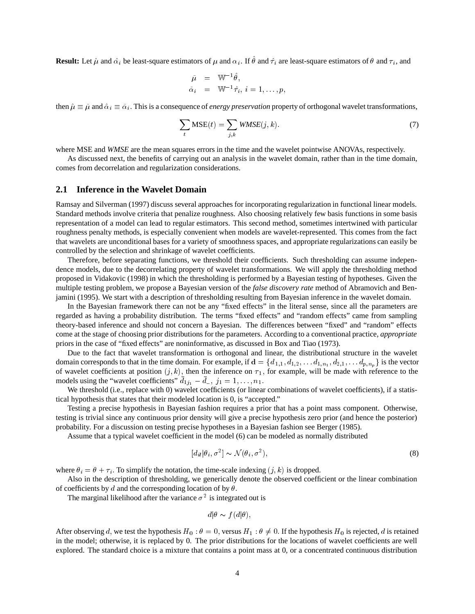**Result:** Let  $\hat{\mu}$  and  $\hat{\alpha_i}$  be least-square estimators of  $\mu$  and  $\alpha_i$ . If  $\theta$  and  $\hat{\tau_i}$  are least-square estimators of  $\theta$  and  $\tau_i$ , and

$$
\begin{array}{rcl} \tilde{\mu} & = & \mathbb{W}^{-1}\,\hat{\theta}, \\ \tilde{\alpha}_i & = & \mathbb{W}^{-1}\,\hat{\tau}_i, \ i=1,\ldots,p, \end{array}
$$

then  $\hat{\mu} \equiv \tilde{\mu}$  and  $\hat{\alpha}_i \equiv \tilde{\alpha}_i$ . This is a consequence of *energy preservation* property of orthogonal wavelet transformations,

$$
\sum_{t} \text{MSE}(t) = \sum_{j,k} \text{WMSE}(j,k). \tag{7}
$$

where MSE and *WMSE* are the mean squares errors in the time and the wavelet pointwise ANOVAs, respectively.

As discussed next, the benefits of carrying out an analysis in the wavelet domain, rather than in the time domain, comes from decorrelation and regularization considerations.

#### **2.1 Inference in the Wavelet Domain**

Ramsay and Silverman (1997) discuss several approaches for incorporating regularization in functional linear models. Standard methods involve criteria that penalize roughness. Also choosing relatively few basis functions in some basis representation of a model can lead to regular estimators. This second method, sometimes intertwined with particular roughness penalty methods, is especially convenient when models are wavelet-represented. This comes from the fact that wavelets are unconditional bases for a variety of smoothness spaces, and appropriate regularizations can easily be controlled by the selection and shrinkage of wavelet coefficients.

Therefore, before separating functions, we threshold their coefficients. Such thresholding can assume independence models, due to the decorrelating property of wavelet transformations. We will apply the thresholding method proposed in Vidakovic (1998) in which the thresholding is performed by a Bayesian testing of hypotheses. Given the multiple testing problem, we propose a Bayesian version of the *false discovery rate* method of Abramovich and Benjamini (1995). We start with a description of thresholding resulting from Bayesian inference in the wavelet domain.

In the Bayesian framework there can not be any "fixed effects" in the literal sense, since all the parameters are regarded as having a probability distribution. The terms "fixed effects" and "random effects" came from sampling theory-based inference and should not concern a Bayesian. The differences between "fixed" and "random" effects come at the stage of choosing prior distributions for the parameters. According to a conventional practice, *appropriate* priors in the case of "fixed effects" are noninformative, as discussed in Box and Tiao (1973).

Due to the fact that wavelet transformation is orthogonal and linear, the distributional structure in the wavelet domain corresponds to that in the time domain. For example, if  $\mathbf{d} = \{d_{1,1}, d_{1,2}, \dots d_{1,n_1}, d_{2,1}, \dots d_{p,n_n}\}$  is the vector of wavelet coefficients at position  $(j, k)$ , then the inference on  $\tau_1$ , for example, will be made with reference to the models using the "wavelet coefficients"  $d_{1j_1} - d_{...}, j_1 = 1, ..., n_1$ .

We threshold (i.e., replace with 0) wavelet coefficients (or linear combinations of wavelet coefficients), if a statistical hypothesis that states that their modeled location is 0, is "accepted."

Testing a precise hypothesis in Bayesian fashion requires a prior that has a point mass component. Otherwise, testing is trivial since any continuous prior density will give a precise hypothesis zero prior (and hence the posterior) probability. For a discussion on testing precise hypotheses in a Bayesian fashion see Berger (1985).

Assume that a typical wavelet coefficient in the model (6) can be modeled as normally distributed

$$
[d_{il}|\theta_i, \sigma^2] \sim \mathcal{N}(\theta_i, \sigma^2),\tag{8}
$$

where  $\theta_i = \theta + \tau_i$ . To simplify the notation, the time-scale indexing  $(j, k)$  is dropped.

Also in the description of thresholding, we generically denote the observed coefficient or the linear combination of coefficients by d and the corresponding location of by  $\theta$ .

The marginal likelihood after the variance  $\sigma^2$  is integrated out is

$$
d|\theta \sim f(d|\theta),
$$

After observing d, we test the hypothesis  $H_0: \theta = 0$ , versus  $H_1: \theta \neq 0$ . If the hypothesis  $H_0$  is rejected, d is retained in the model; otherwise, it is replaced by 0. The prior distributions for the locations of wavelet coefficients are well explored. The standard choice is a mixture that contains a point mass at 0, or a concentrated continuous distribution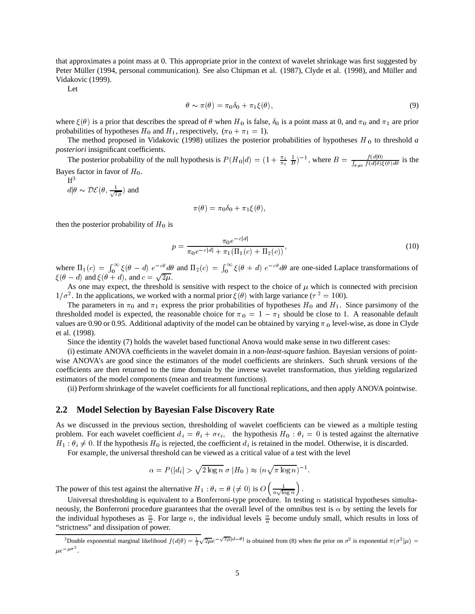that approximates a point mass at 0. This appropriate prior in the context of wavelet shrinkage was first suggested by Peter Müller (1994, personal communication). See also Chipman et al. (1987), Clyde et al. (1998), and Müller and Vidakovic (1999).

Let

$$
\theta \sim \pi(\theta) = \pi_0 \delta_0 + \pi_1 \xi(\theta), \tag{9}
$$

where  $\xi(\theta)$  is a prior that describes the spread of  $\theta$  when  $H_0$  is false,  $\delta_0$  is a point mass at 0, and  $\pi_0$  and  $\pi_1$  are prior probabilities of hypotheses  $H_0$  and  $H_1$ , respectively,  $(\pi_0 + \pi_1 = 1)$ .

The method proposed in Vidakovic (1998) utilizes the posterior probabilities of hypotheses  $H_0$  to threshold  $a$ *posteriori* insignificant coefficients.

The posterior probability of the null hypothesis is  $P(H_0|d) = (1 + \frac{\pi_1}{\pi_0} \frac{1}{B})^{-1}$ , where  $B = \frac{f(d|0)}{\int_{\theta \neq 0} f(d|\theta) \xi(\theta) d\theta}$  is the Bayes factor in favor of  $H_0$ .

 $If<sup>3</sup>$ 

 $d\ket{\theta} \sim \mathcal{DE}(\theta, \frac{1}{\sqrt{2\pi}})$  and 

$$
\pi(\theta) = \pi_0 \delta_0 + \pi_1 \xi(\theta),
$$

then the posterior probability of  $H_0$  is

$$
p = \frac{\pi_0 e^{-c|d|}}{\pi_0 e^{-c|d|} + \pi_1(\Pi_1(c) + \Pi_2(c))},
$$
\n(10)

where  $\Pi_1(c) = \int_0^\infty \xi(\theta - d) e^{-c\theta} d\theta$  and  $\Pi_2(c) = \int_0^\infty \xi(\theta + d) e^{-c\theta} d\theta$  are one-sided Laplace transformations of  $\xi(\theta - d)$  and  $\xi(\theta + d)$ , and  $c = \sqrt{2\mu}$ .

As one may expect, the threshold is sensitive with respect to the choice of  $\mu$  which is connected with precision  $1/\sigma^2$ . In the applications, we worked with a normal prior  $\xi(\theta)$  with large variance ( $\tau^2 = 100$ ).

The parameters in  $\pi_0$  and  $\pi_1$  express the prior probabilities of hypotheses  $H_0$  and  $H_1$ . Since parsimony of the thresholded model is expected, the reasonable choice for  $\pi_0 = 1 - \pi_1$  should be close to 1. A reasonable default values are 0.90 or 0.95. Additional adaptivity of the model can be obtained by varying  $\pi_0$  level-wise, as done in Clyde et al. (1998).

Since the identity (7) holds the wavelet based functional Anova would make sense in two different cases:

(i) estimate ANOVA coefficients in the wavelet domain in a *non-least-square* fashion. Bayesian versions of pointwise ANOVA's are good since the estimators of the model coefficients are shrinkers. Such shrunk versions of the coefficients are then returned to the time domain by the inverse wavelet transformation, thus yielding regularized estimators of the model components (mean and treatment functions).

(ii) Perform shrinkage of the wavelet coefficients for all functional replications, and then apply ANOVA pointwise.

#### **2.2 Model Selection by Bayesian False Discovery Rate**

As we discussed in the previous section, thresholding of wavelet coefficients can be viewed as a multiple testing problem. For each wavelet coefficient  $d_i = \theta_i + \sigma \epsilon_i$ , the hypothesis  $H_0 : \theta_i = 0$  is tested against the alternative  $H_1: \theta_i \neq 0$ . If the hypothesis  $H_0$  is rejected, the coefficient  $d_i$  is retained in the model. Otherwise, it is discarded.

For example, the universal threshold can be viewed as a critical value of a test with the level

$$
\alpha = P(|d_i| > \sqrt{2 \log n} \sigma |H_0|) \approx (n \sqrt{\pi \log n})^{-1}.
$$

The power of this test against the alternative  $H_1 : \theta_i = \theta \ (\neq 0)$  is  $O\left(\frac{1}{n\sqrt{\log n}}\right)$ .

Universal thresholding is equivalent to a Bonferroni-type procedure. In testing  $n$  statistical hypotheses simultaneously, the Bonferroni procedure guarantees that the overall level of the omnibus test is  $\alpha$  by setting the levels for the individual hypotheses as  $\frac{\alpha}{n}$ . For large *n*, the individual levels  $\frac{\alpha}{n}$  become unduly small, which results in loss of "strictness" and dissipation of power.

<sup>&</sup>lt;sup>3</sup>Double exponential marginal likelihood  $f(d|\theta) = \frac{1}{2}\sqrt{2\mu}e^{-\sqrt{2\mu}|d-\theta|}$  is obtained from (8) when the prior on  $\sigma^2$  is exponential  $\pi(\sigma^2|\mu)$  =  $\mu e^{-\mu \sigma^2}$ .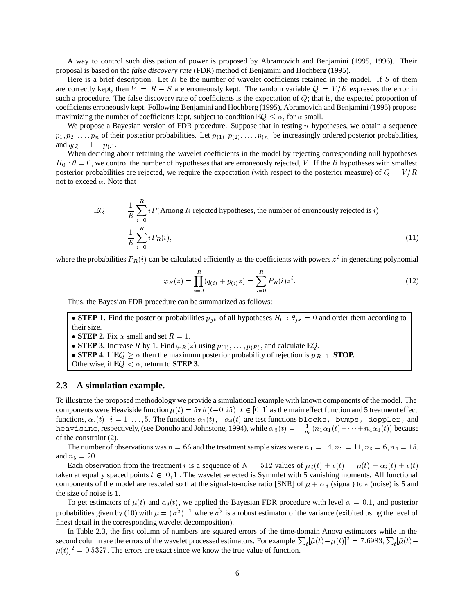A way to control such dissipation of power is proposed by Abramovich and Benjamini (1995, 1996). Their proposal is based on the *false discovery rate* (FDR) method of Benjamini and Hochberg (1995).

Here is a brief description. Let  $R$  be the number of wavelet coefficients retained in the model. If  $S$  of them are correctly kept, then  $V = R - S$  are erroneously kept. The random variable  $Q = V/R$  expresses the error in such a procedure. The false discovery rate of coefficients is the expectation of  $Q$ ; that is, the expected proportion of coefficients erroneously kept. Following Benjamini and Hochberg (1995), Abramovich and Benjamini (1995) propose maximizing the number of coefficients kept, subject to condition  $\mathbb{E}Q \leq \alpha$ , for  $\alpha$  small.

We propose a Bayesian version of FDR procedure. Suppose that in testing  $n$  hypotheses, we obtain a sequence  $p_1, p_2, \ldots, p_n$  of their posterior probabilities. Let  $p_{(1)}, p_{(2)}, \ldots, p_{(n)}$  be increasingly ordered posterior probabilities, and  $q_{(i)} = 1 - p_{(i)}$ .

When deciding about retaining the wavelet coefficients in the model by rejecting corresponding null hypotheses  $H_0: \theta = 0$ , we control the number of hypotheses that are erroneously rejected, V. If the R hypotheses with smallest posterior probabilities are rejected, we require the expectation (with respect to the posterior measure) of  $Q = V/R$ not to exceed  $\alpha$ . Note that

$$
\mathbb{E}Q = \frac{1}{R} \sum_{i=0}^{R} iP(\text{Among } R \text{ rejected hypotheses, the number of erroneously rejected is } i)
$$
\n
$$
= \frac{1}{R} \sum_{i=0}^{R} iP_R(i), \tag{11}
$$

where the probabilities  $P_R(i)$  can be calculated efficiently as the coefficients with powers  $z^i$  in generating polynomial

$$
\varphi_R(z) = \prod_{i=0}^R (q_{(i)} + p_{(i)}z) = \sum_{i=0}^R P_R(i)z^i.
$$
 (12)

Thus, the Bayesian FDR procedure can be summarized as follows:

• **STEP 1.** Find the posterior probabilities  $p_{jk}$  of all hypotheses  $H_0$ :  $\theta_{jk} = 0$  and order them according to their size.

- **STEP 2.** Fix  $\alpha$  small and set  $R = 1$ .
- **STEP 3.** Increase R by 1. Find  $\varphi_R(z)$  using  $p_{(1)}, \ldots, p_{(R)}$ , and calculate  $\mathbb{E}Q$ .
- **STEP 4.** If  $\mathbb{E}Q \ge \alpha$  then the maximum posterior probability of rejection is  $p_{R-1}$ . **STOP.**

#### **2.3 A simulation example.**

To illustrate the proposed methodology we provide a simulational example with known components of the model. The components were Heaviside function  $\mu(t) = 5*h(t-0.25), t \in [0,1]$  as the main effect function and 5 treatment effect functions,  $\alpha_i(t),\;i=1,\ldots,5.$  The functions  $\alpha_1(t),-\alpha_4(t)$  are test functions blocks, bumps, doppler, and heavisine, respectively, (see Donoho and Johnstone, 1994), while  $\alpha_5(t)=-\frac{1}{n_5}(n_1\alpha_1(t)+\cdots+n_4\alpha_4(t))$  because of the constraint (2).

The number of observations was  $n = 66$  and the treatment sample sizes were  $n_1 = 14$ ,  $n_2 = 11$ ,  $n_3 = 6$ ,  $n_4 = 15$ , and  $n_5 = 20$ .

Each observation from the treatment i is a sequence of  $N = 512$  values of  $\mu_i(t) + \epsilon(t) = \mu(t) + \alpha_i(t) + \epsilon(t)$ taken at equally spaced points  $t \in [0, 1]$ . The wavelet selected is Symmlet with 5 vanishing moments. All functional components of the model are rescaled so that the signal-to-noise ratio [SNR] of  $\mu + \alpha_i$  (signal) to  $\epsilon$  (noise) is 5 and the size of noise is 1.

To get estimators of  $\mu(t)$  and  $\alpha_i(t)$ , we applied the Bayesian FDR procedure with level  $\alpha = 0.1$ , and posterior probabilities given by (10) with  $\mu = (\sigma^2)^{-1}$  where  $\sigma^2$  is a robust estimator of the variance (exibited using the level of finest detail in the corresponding wavelet decomposition).

In Table 2.3, the first column of numbers are squared errors of the time-domain Anova estimators while in the second column are the errors of the wavelet processed estimators. For example  $\sum_{t}[\hat{\mu}(t)-\mu(t)]^2 = 7.6983, \sum_{t}[\tilde{\mu}(t) \mu(t)$ <sup>2</sup> = 0.5327. The errors are exact since we know the true value of function.

Otherwise, if  $\mathbb{E}Q < \alpha$ , return to **STEP 3.**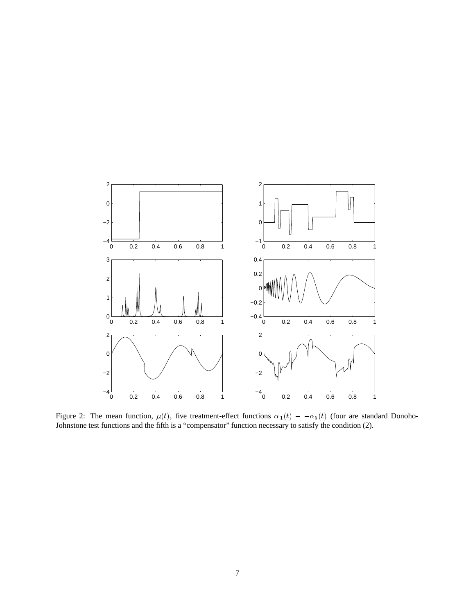

Figure 2: The mean function,  $\mu(t)$ , five treatment-effect functions  $\alpha_1(t) - \alpha_5(t)$  (four are standard Donoho-Johnstone test functions and the fifth is a "compensator" function necessary to satisfy the condition (2).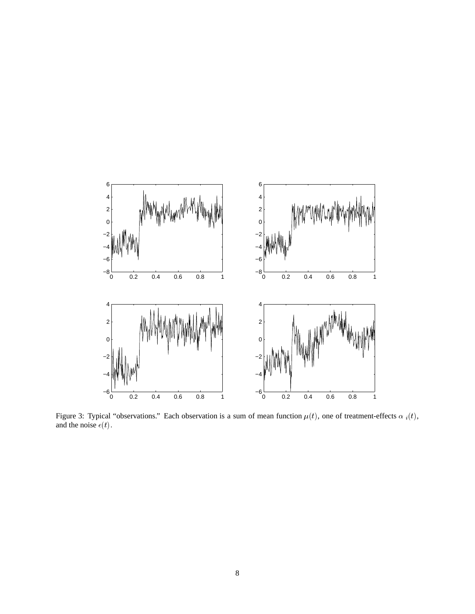

Figure 3: Typical "observations." Each observation is a sum of mean function  $\mu(t)$ , one of treatment-effects  $\alpha_i(t)$ , and the noise  $\epsilon(t)$ .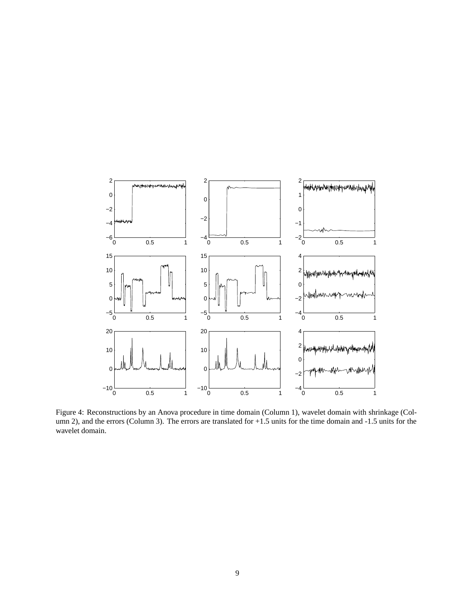

Figure 4: Reconstructions by an Anova procedure in time domain (Column 1), wavelet domain with shrinkage (Column 2), and the errors (Column 3). The errors are translated for +1.5 units for the time domain and -1.5 units for the wavelet domain.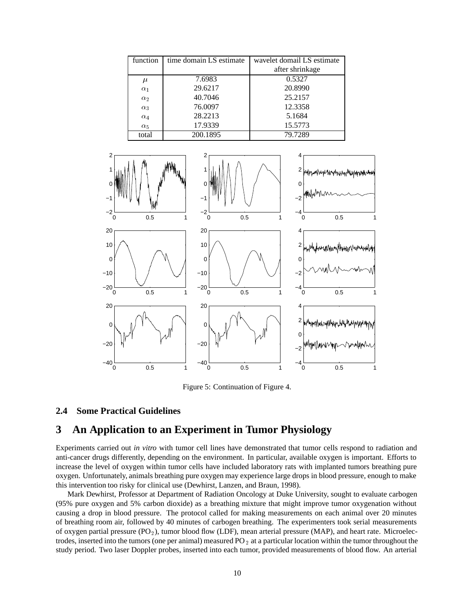| function              | time domain LS estimate | wavelet domail LS estimate |
|-----------------------|-------------------------|----------------------------|
|                       |                         | after shrinkage            |
| $\mu$                 | 7.6983                  | 0.5327                     |
| $\alpha_1$            | 29.6217                 | 20.8990                    |
| $\alpha$ <sub>2</sub> | 40.7046                 | 25.2157                    |
| $\alpha_3$            | 76.0097                 | 12.3358                    |
| $\alpha_4$            | 28.2213                 | 5.1684                     |
| $\alpha_5$            | 17.9339                 | 15.5773                    |
| total                 | 200.1895                | 79.7289                    |



Figure 5: Continuation of Figure 4.

### **2.4 Some Practical Guidelines**

# **3 An Application to an Experiment in Tumor Physiology**

Experiments carried out *in vitro* with tumor cell lines have demonstrated that tumor cells respond to radiation and anti-cancer drugs differently, depending on the environment. In particular, available oxygen is important. Efforts to increase the level of oxygen within tumor cells have included laboratory rats with implanted tumors breathing pure oxygen. Unfortunately, animals breathing pure oxygen may experience large drops in blood pressure, enough to make this intervention too risky for clinical use (Dewhirst, Lanzen, and Braun, 1998).

Mark Dewhirst, Professor at Department of Radiation Oncology at Duke University, sought to evaluate carbogen (95% pure oxygen and 5% carbon dioxide) as a breathing mixture that might improve tumor oxygenation without causing a drop in blood pressure. The protocol called for making measurements on each animal over 20 minutes of breathing room air, followed by 40 minutes of carbogen breathing. The experimenters took serial measurements of oxygen partial pressure  $(PO_2)$ , tumor blood flow (LDF), mean arterial pressure (MAP), and heart rate. Microelectrodes, inserted into the tumors (one per animal) measured  $PO<sub>2</sub>$  at a particular location within the tumor throughout the study period. Two laser Doppler probes, inserted into each tumor, provided measurements of blood flow. An arterial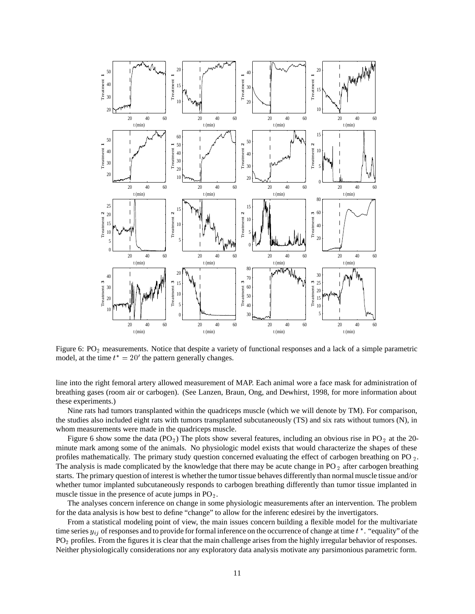

Figure 6:  $PO<sub>2</sub>$  measurements. Notice that despite a variety of functional responses and a lack of a simple parametric model, at the time  $t^* = 20'$  the pattern generally changes.

line into the right femoral artery allowed measurement of MAP. Each animal wore a face mask for administration of breathing gases (room air or carbogen). (See Lanzen, Braun, Ong, and Dewhirst, 1998, for more information about these experiments.)

Nine rats had tumors transplanted within the quadriceps muscle (which we will denote by TM). For comparison, the studies also included eight rats with tumors transplanted subcutaneously (TS) and six rats without tumors (N), in whom measurements were made in the quadriceps muscle.

Figure 6 show some the data (PO<sub>2</sub>) The plots show several features, including an obvious rise in PO<sub>2</sub> at the 20minute mark among some of the animals. No physiologic model exists that would characterize the shapes of these profiles mathematically. The primary study question concerned evaluating the effect of carbogen breathing on PO <sub>2</sub>. The analysis is made complicated by the knowledge that there may be acute change in  $PO_2$  after carbogen breathing starts. The primary question of interest is whether the tumor tissue behaves differently than normal muscle tissue and/or whether tumor implanted subcutaneously responds to carbogen breathing differently than tumor tissue implanted in muscle tissue in the presence of acute jumps in  $PO<sub>2</sub>$ .

The analyses concern inference on change in some physiologic measurements after an intervention. The problem for the data analysis is how best to define "change" to allow for the inferenc edesirei by the invertigators.

From a statistical modeling point of view, the main issues concern building a flexible model for the multivariate time series  $y_{ij}$  of responses and to provide for formal inference on the occurrence of change at time  $t^*$ . "equality" of the PO<sub>2</sub> profiles. From the figures it is clear that the main challenge arises from the highly irregular behavior of responses. Neither physiologically considerations nor any exploratory data analysis motivate any parsimonious parametric form.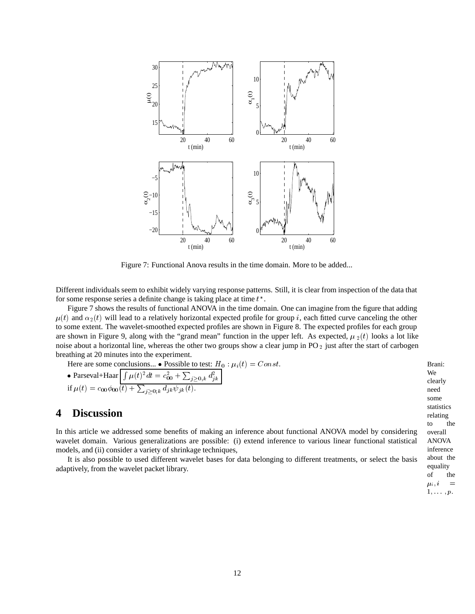

Figure 7: Functional Anova results in the time domain. More to be added...

Different individuals seem to exhibit widely varying response patterns. Still, it is clear from inspection of the data that for some response series a definite change is taking place at time  $t^*$ .

Figure 7 shows the results of functional ANOVA in the time domain. One can imagine from the figure that adding  $\mu(t)$  and  $\alpha_2(t)$  will lead to a relatively horizontal expected profile for group *i*, each fitted curve canceling the other to some extent. The wavelet-smoothed expected profiles are shown in Figure 8. The expected profiles for each group are shown in Figure 9, along with the "grand mean" function in the upper left. As expected,  $\mu_2(t)$  looks a lot like noise about a horizontal line, whereas the other two groups show a clear jump in PO  $_2$  just after the start of carbogen breathing at 20 minutes into the experiment.

Here are some conclusions...  $\bullet$  Possible to test:  $H_0: \mu_i(t) = Const.$ 

• Parseval+Haar 
$$
\left[\int \mu(t)^2 dt = c_{00}^2 + \sum_{j \ge 0, k} d_{jk}^2\right]
$$
  
if  $\mu(t) = c_{00} \phi_{00}(t) + \sum_{j \ge 0, k} d_{jk} \psi_{jk}(t)$ .

# **4 Discussion**

In this article we addressed some benefits of making an inference about functional ANOVA model by considering wavelet domain. Various generalizations are possible: (i) extend inference to various linear functional statistical models, and (ii) consider a variety of shrinkage techniques,

It is also possible to used different wavelet bases for data belonging to different treatments, or select the basis adaptively, from the wavelet packet library.

 Brani: We clearly need some statistics relating to the overall ANOVA inference about the equality of the  $\mu_i, i =$  $\mathbf{v}$  and  $\mathbf{v}$  and  $\mathbf{v}$  and  $\mathbf{v}$  and  $\mathbf{v}$  and  $\mathbf{v}$  and  $\mathbf{v}$  and  $\mathbf{v}$  and  $\mathbf{v}$  and  $\mathbf{v}$  and  $\mathbf{v}$  and  $\mathbf{v}$  and  $\mathbf{v}$  and  $\mathbf{v}$  and  $\mathbf{v}$  and  $\mathbf{v}$  and  $\mathbf{v}$  and  $1, \ldots, p.$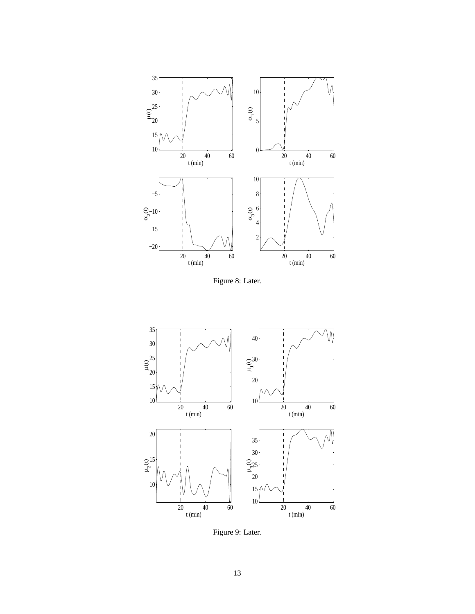

Figure 8: Later.



Figure 9: Later.